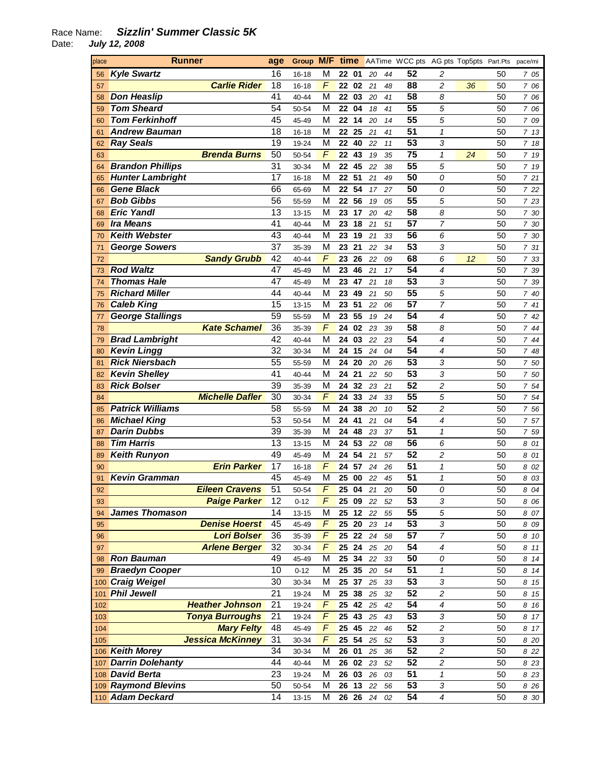| place | <b>Runner</b>                                    |                                    |                |                |                      |          |          | Group M/F time AATime WCC pts AG pts Top5pts Part.Pts |                          |    |          | pace/mi        |
|-------|--------------------------------------------------|------------------------------------|----------------|----------------|----------------------|----------|----------|-------------------------------------------------------|--------------------------|----|----------|----------------|
| 56    | <b>Kyle Swartz</b>                               | 16                                 | 16-18          | M              | 22 01                | 20       | 44       | 52                                                    | 2                        |    | 50       | 7 05           |
| 57    | <b>Carlie Rider</b>                              | 18                                 | $16 - 18$      | F              | 22<br>02             | 21       | 48       | 88                                                    | $\overline{c}$           | 36 | 50       | 7 06           |
| 58    | <b>Don Heaslip</b>                               | 41                                 | 40-44          | M              | 22 03                | 20       | 41       | $\overline{58}$                                       | 8                        |    | 50       | 7 06           |
| 59    | <b>Tom Sheard</b>                                | 54                                 | 50-54          | M              | 22 04                | 18       | 41       | $\overline{55}$                                       | 5                        |    | 50       | 7 06           |
| 60    | <b>Tom Ferkinhoff</b>                            | 45                                 | 45-49          | M              | 22<br>14             | 20       | 14       | 55                                                    | 5                        |    | 50       | 7 09           |
| 61    | <b>Andrew Bauman</b>                             | 18                                 | 16-18          | M              | 22<br>25             | 21       | 41       | $\overline{51}$                                       | $\mathbf{1}$             |    | 50       | 7 13           |
| 62    | <b>Ray Seals</b>                                 | $\overline{19}$                    | 19-24          | M              | 22<br>40             | 22       | 11       | $\overline{53}$                                       | 3                        |    | 50       | 7 18           |
| 63    | <b>Brenda Burns</b>                              | $\overline{50}$                    | 50-54          | F              | 22<br>43             | 19       | 35       | $\overline{75}$                                       | $\mathbf{1}$             | 24 | 50       | 7 19           |
| 64    | <b>Brandon Phillips</b>                          | $\overline{31}$                    | 30-34          | M              | 22<br>45             | 22       | 38       | 55                                                    | 5                        |    | 50       | 7 19           |
| 65    | <b>Hunter Lambright</b>                          | $\overline{17}$                    | $16 - 18$      | M              | 22<br>51             | 21       | 49       | $\overline{50}$                                       | 0                        |    | 50       | 7 21           |
| 66    | <b>Gene Black</b>                                | 66                                 | 65-69          | M              | 54<br>22             | 17       | 27       | $\overline{50}$                                       | 0                        |    | 50       | 7 22           |
| 67    | <b>Bob Gibbs</b>                                 | 56                                 | 55-59          | M              | 56<br>22             | 19       | 05       | $\overline{55}$                                       | 5                        |    | 50       | 7 23           |
| 68    | <b>Eric Yandl</b>                                | $\overline{13}$                    | $13 - 15$      | M              | 23<br>17             | 20       | 42       | $\overline{58}$                                       | 8                        |    | 50       | 7 30           |
| 69    | <b>Ira Means</b>                                 | 41                                 | 40-44          | M              | 23<br>18             | 21       | 51       | $\overline{57}$                                       | $\overline{7}$           |    | 50       | 7 30           |
| 70    | <b>Keith Webster</b>                             | 43                                 | 40-44          | M              | 23<br>19             | 21       | 33       | $\overline{56}$                                       | 6                        |    | 50       | 7 30           |
| 71    | <b>George Sowers</b>                             | $\overline{37}$                    | 35-39          | M              | 23<br>21             | 22       | 34       | $\overline{53}$                                       | 3                        |    | 50       | 7 31           |
| 72    | <b>Sandy Grubb</b>                               | 42                                 | 40-44          | F              | 23<br>26             | 22       | 09       | 68                                                    | 6                        | 12 | 50       | 7 33           |
| 73    | <b>Rod Waltz</b>                                 | 47                                 | 45-49          | M              | 23<br>46             | 21       | 17       | $\overline{54}$                                       | $\overline{4}$           |    | 50       | 7 39           |
| 74    | <b>Thomas Hale</b>                               | 47                                 | 45-49          | M              | 23<br>47             | 21       | 18       | $\overline{53}$                                       | 3                        |    | 50       | 7 39           |
| 75    | <b>Richard Miller</b>                            | 44                                 | 40-44          | M              | 23<br>49             | 21       | 50       | 55                                                    | 5                        |    | 50       | 7 40           |
| 76    | <b>Caleb King</b>                                | 15                                 | $13 - 15$      | M              | 23<br>51             | 22       | 06       | 57                                                    | $\overline{7}$           |    | 50       | 741            |
| 77    | <b>George Stallings</b>                          | 59                                 | 55-59          | M              | 23<br>55             | 19       | 24       | $\overline{54}$                                       | $\overline{4}$           |    | 50       | 7 42           |
| 78    | <b>Kate Schamel</b>                              | $\overline{36}$                    | 35-39          | F              | 24<br>02             | 23       | 39       | $\overline{58}$                                       | 8                        |    | 50       | 7 44           |
| 79    | <b>Brad Lambright</b>                            | $\overline{42}$                    | 40-44          | M              | 24<br>03             | 22       | 23       | $\overline{54}$                                       | $\boldsymbol{4}$         |    | 50       | 744            |
| 80    | <b>Kevin Lingg</b>                               | $\overline{32}$                    | 30-34          | M              | 24<br>15             | 24       | 04       | $\overline{54}$                                       | $\overline{4}$           |    | 50       | 7 48           |
| 81    | <b>Rick Niersbach</b>                            | $\overline{55}$                    | 55-59          | M              | 24<br>20             | 20       | 26       | $\overline{53}$                                       | 3                        |    | 50       | 7 50           |
| 82    | <b>Kevin Shelley</b>                             | 41                                 | 40-44          | M              | 24<br>21             | 22       | 50       | $\overline{53}$                                       | 3                        |    | 50       | 7 50           |
| 83    | <b>Rick Bolser</b>                               | $\overline{39}$                    | 35-39          | M              | 24<br>32             | 23       | 21       | 52                                                    | $\overline{c}$           |    | 50       | 7 54           |
| 84    | <b>Michelle Dafler</b>                           | $\overline{30}$                    | 30-34          | F              | 24<br>33             | 24       | 33       | 55                                                    | 5                        |    | 50       | 7 54           |
| 85    | <b>Patrick Williams</b>                          | 58                                 | 55-59          | M              | 24<br>38             | 20       | 10       | 52                                                    | 2                        |    | 50       | 7 56           |
| 86    | <b>Michael King</b>                              | 53                                 | 50-54          | M              | 24<br>41             | 21       | 04       | $\overline{54}$                                       | $\overline{4}$           |    | 50       | 7 57           |
| 87    | <b>Darin Dubbs</b>                               | $\overline{39}$                    | 35-39          | M              | 24<br>48             | 23       | 37       | $\overline{51}$                                       | $\mathbf{1}$             |    | 50       | 7 59           |
| 88    | <b>Tim Harris</b>                                | $\overline{13}$                    | $13 - 15$      | M              | 24<br>53             | 22       | 08       | $\overline{56}$                                       | 6                        |    | 50       | 8 01           |
| 89    | <b>Keith Runyon</b>                              | 49                                 | 45-49          | M              | 24<br>54             | 21       | 57       | $\overline{52}$                                       | $\overline{c}$           |    | 50       | 8 01           |
| 90    | <b>Erin Parker</b>                               | 17                                 | 16-18          | F              | 24<br>57             | 24       | 26       | $\overline{51}$                                       | $\mathbf 1$              |    | 50       | 8 02           |
| 91    | <b>Kevin Gramman</b>                             | 45                                 | 45-49          | M              | 25<br>00             | 22       | 45       | $\overline{51}$                                       | 1                        |    | 50       | 8 03           |
| 92    | <b>Eileen Cravens</b>                            | 51                                 | 50-54          | $\overline{F}$ | 25 04                | 21       | 20       | 50                                                    | 0                        |    | 50       | 8 04           |
| 93    | <b>Paige Parker</b>                              | 12                                 | $0 - 12$       | F              | 25 09                | 22       | 52       | 53                                                    | 3                        |    | 50       | 8 0 6          |
| 94    | <b>James Thomason</b>                            | 14                                 | 13-15          | M              | 25 12                | 22       | 55       | 55                                                    | 5                        |    | 50       | 8 07           |
| 95    | <b>Denise Hoerst</b>                             | 45                                 | 45-49          | F              | $25$ 20              | 23       | 14       | $\overline{53}$                                       | 3                        |    | 50       | 8 09           |
| 96    | <b>Lori Bolser</b>                               | $\overline{36}$                    | 35-39          | F              | 25 22                | 24       | 58       | $\overline{57}$                                       | 7                        |    | 50       | 8 10           |
| 97    | <b>Arlene Berger</b>                             | 32                                 | 30-34          | F              | 25 24                | 25       | 20       | $\overline{54}$                                       | $\boldsymbol{4}$         |    | 50       | 8 11           |
| 98    | <b>Ron Bauman</b>                                | 49                                 | 45-49          | M              | 25 34                | 22       | 33       | $\overline{50}$                                       | 0                        |    | 50       | 8 14           |
| 99    | <b>Braedyn Cooper</b>                            | 10                                 | $0 - 12$       | M              | 25 35                | 20       | 54       | $\overline{51}$                                       | $\mathbf{1}$             |    | 50       | 8 14           |
|       | 100 Craig Weigel                                 | 30                                 | 30-34          | M              | 25 37                | 25       | 33       | $\overline{53}$                                       | 3                        |    | 50       | 8 15           |
|       | 101 Phil Jewell                                  | $\overline{21}$<br>$\overline{21}$ | 19-24          | M              | 25 38                | 25       | 32       | 52<br>54                                              | $\overline{c}$           |    | 50       | 8 15           |
| 102   | <b>Heather Johnson</b><br><b>Tonya Burroughs</b> | $\overline{21}$                    | 19-24          | F<br>F         | 25<br>42             | 25       | 42       | $\overline{53}$                                       | $\overline{\mathcal{A}}$ |    | 50       | 8 16           |
| 103   | <b>Mary Felty</b>                                | 48                                 | 19-24          | F              | 25<br>43<br>25<br>45 | 25<br>22 | 43       | 52                                                    | 3<br>$\overline{c}$      |    | 50<br>50 | 8 17           |
| 104   | Jessica McKinney                                 | 31                                 | 45-49          | F              | 25 54                |          | 46       | 53                                                    | 3                        |    | 50       | 8 17           |
| 105   | 106 Keith Morey                                  | 34                                 | 30-34          | M              | 26 01                | 25       | 52       | 52                                                    | $\overline{c}$           |    | 50       | 8 20           |
|       | 107 Darrin Dolehanty                             | 44                                 | 30-34<br>40-44 | M              | 26 02                | 25<br>23 | 36<br>52 | 52                                                    | $\overline{c}$           |    | 50       | 8 22           |
|       | 108 David Berta                                  | 23                                 | 19-24          | M              | 26 03                | 26       | 03       | $\overline{51}$                                       | $\mathbf{1}$             |    | 50       | 8 2 3<br>8 2 3 |
|       | 109 Raymond Blevins                              | 50                                 | 50-54          | M              | 26 13                | 22       | 56       | $\overline{53}$                                       | 3                        |    | 50       | 8 2 6          |
|       | 110 Adam Deckard                                 | $\overline{14}$                    | 13-15          | M              | 26 26 24             |          | 02       | $\overline{54}$                                       | $\overline{4}$           |    | 50       | 8 30           |
|       |                                                  |                                    |                |                |                      |          |          |                                                       |                          |    |          |                |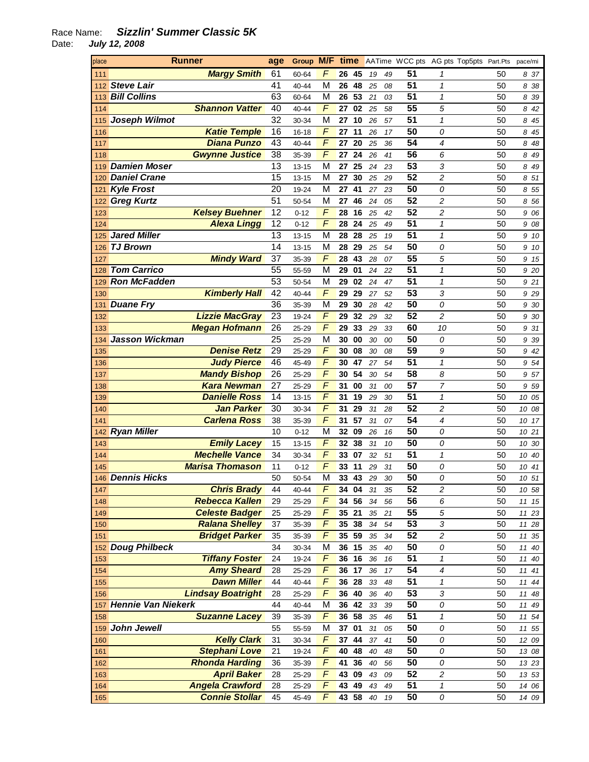| place | Runner                   |                 |           |                |       |     |        |    | Group M/F time AATime WCC pts AG pts Top5pts Part.Pts |                         |    | pace/mi |
|-------|--------------------------|-----------------|-----------|----------------|-------|-----|--------|----|-------------------------------------------------------|-------------------------|----|---------|
| 111   | <b>Margy Smith</b>       | 61              | 60-64     | F              | 26    | -45 | 19     | 49 | 51                                                    | 1                       | 50 | 837     |
|       | 112 Steve Lair           | 41              | 40-44     | M              | 26    | 48  | 25     | 08 | 51                                                    | $\mathcal I$            | 50 | 838     |
|       | 113 Bill Collins         | 63              | 60-64     | M              | 26    | 53  | 21     | 03 | 51                                                    | $\mathbf{1}$            | 50 | 839     |
| 114   | <b>Shannon Vatter</b>    | 40              | 40-44     | F              | 27    | 02  | 25     | 58 | $\overline{55}$                                       | 5                       | 50 | 8 42    |
| 115   | Joseph Wilmot            | $\overline{32}$ | 30-34     | M              | 27    | 10  | 26     | 57 | 51                                                    | $\mathbf{1}$            | 50 | 8 45    |
| 116   | <b>Katie Temple</b>      | $\overline{16}$ | 16-18     | F              | 27    | 11  | 26     | 17 | $\overline{50}$                                       | 0                       | 50 | 8 45    |
| 117   | <b>Diana Punzo</b>       | 43              | 40-44     | F              | 27    | 20  | 25     | 36 | 54                                                    | 4                       | 50 | 848     |
| 118   | <b>Gwynne Justice</b>    | 38              | 35-39     | F              | 27    | 24  | 26     | 41 | $\overline{56}$                                       | 6                       | 50 | 8 49    |
| 119   | <b>Damien Moser</b>      | 13              | 13-15     | M              | 27    | 25  | 24     | 23 | $\overline{53}$                                       | 3                       | 50 | 8 49    |
| 120   | <b>Daniel Crane</b>      | 15              | $13 - 15$ | M              | 27    | 30  | 25     | 29 | $\overline{52}$                                       | $\overline{c}$          | 50 | 8 51    |
| 121   | <b>Kyle Frost</b>        | 20              | 19-24     | M              | 27    | 41  | 27     | 23 | $\overline{50}$                                       | 0                       | 50 | 855     |
| 122   | <b>Greg Kurtz</b>        | 51              | 50-54     | M              | 27    | 46  | 24     | 05 | $\overline{52}$                                       | $\overline{c}$          | 50 | 856     |
| 123   | <b>Kelsey Buehner</b>    | 12              | $0 - 12$  | F              | 28    | 16  | 25     | 42 | $\overline{52}$                                       | $\overline{c}$          | 50 | 9 06    |
| 124   | <b>Alexa Lingg</b>       | 12              | $0 - 12$  | F              | 28    | 24  | 25     | 49 | $\overline{51}$                                       | $\mathbf{1}$            | 50 | 9 08    |
| 125   | <b>Jared Miller</b>      | 13              | $13 - 15$ | M              | 28    | 28  | 25     | 19 | 51                                                    | $\mathbf{1}$            | 50 | 9 10    |
| 126   | <b>TJ Brown</b>          | 14              | 13-15     | M              | 28    | 29  | 25     | 54 | 50                                                    | 0                       | 50 | 9 10    |
| 127   | <b>Mindy Ward</b>        | 37              | 35-39     | F              | 28    | 43  | 28     | 07 | $\overline{55}$                                       | 5                       | 50 | 9 15    |
| 128   | <b>Tom Carrico</b>       | 55              | 55-59     | M              | 29    | 01  | $24\,$ | 22 | $\overline{51}$                                       | 1                       | 50 | 9 20    |
| 129   | <b>Ron McFadden</b>      | 53              | 50-54     | M              | 29    | 02  | 24     | 47 | $\overline{51}$                                       | $\mathbf{1}$            | 50 | 921     |
| 130   | <b>Kimberly Hall</b>     | 42              | 40-44     | F              | 29    | 29  | 27     | 52 | $\overline{53}$                                       | 3                       | 50 | 929     |
| 131   | <b>Duane Fry</b>         | 36              | 35-39     | M              | 29    | 30  | 28     | 42 | $\overline{50}$                                       | 0                       | 50 | 9 30    |
| 132   | <b>Lizzie MacGray</b>    | $\overline{23}$ | 19-24     | F              | 29    | 32  | 29     | 32 | $\overline{52}$                                       | $\overline{c}$          | 50 | 9 30    |
| 133   | <b>Megan Hofmann</b>     | 26              | 25-29     | F              | 29    | 33  | 29     | 33 | 60                                                    | 10                      | 50 | 9 31    |
| 134   | <b>Jasson Wickman</b>    | 25              | 25-29     | M              | 30    | 00  | 30     | 00 | 50                                                    | 0                       | 50 | 939     |
| 135   | <b>Denise Retz</b>       | 29              | 25-29     | F              | 30    | 08  | 30     | 08 | 59                                                    | 9                       | 50 | 9 42    |
| 136   | <b>Judy Pierce</b>       | 46              | 45-49     | F              | 30    | 47  | 27     | 54 | $\overline{51}$                                       | $\mathbf{1}$            | 50 | 954     |
| 137   | <b>Mandy Bishop</b>      | 26              | 25-29     | F              | 30    | 54  | 30     | 54 | 58                                                    | 8                       | 50 | 9 57    |
| 138   | <b>Kara Newman</b>       | 27              | 25-29     | F              | 31    | 00  | 31     | 00 | $\overline{57}$                                       | $\overline{7}$          | 50 | 959     |
| 139   | <b>Danielle Ross</b>     | 14              | 13-15     | F              | 31    | 19  | 29     | 30 | 51                                                    | $\mathbf{1}$            | 50 | 10 05   |
| 140   | <b>Jan Parker</b>        | 30              | 30-34     | F              | 31    | 29  | 31     | 28 | $\overline{52}$                                       | $\overline{c}$          | 50 | 10 08   |
| 141   | <b>Carlena Ross</b>      | 38              | 35-39     | F              | 31    | 57  | 31     | 07 | 54                                                    | 4                       | 50 | 10 17   |
|       | 142 Ryan Miller          | 10              | $0 - 12$  | M              | 32    | 09  | 26     | 16 | 50                                                    | 0                       | 50 | 10 21   |
| 143   | <b>Emily Lacey</b>       | 15              | 13-15     | F              | 32    | 38  | 31     | 10 | 50                                                    | 0                       | 50 | 10 30   |
| 144   | <b>Mechelle Vance</b>    | 34              | 30-34     | F              | 33    | 07  | 32     | 51 | 51                                                    | $\mathcal I$            | 50 | 10 40   |
| 145   | <b>Marisa Thomason</b>   | 11              | $0 - 12$  | F              | 33    | 11  | 29     | 31 | 50                                                    | 0                       | 50 | 10 41   |
|       | 146 Dennis Hicks         | 50              | 50-54     | M              | 33    | 43  | 29     | 30 | 50                                                    | 0                       | 50 | 10 51   |
| 147   | <b>Chris Brady</b>       | 44              | 40-44     | $\overline{F}$ | 34 04 |     | 31     | 35 | $\overline{52}$                                       | $\overline{\mathbf{c}}$ | 50 | 10 58   |
| 148   | <b>Rebecca Kallen</b>    | 29              | 25-29     | F              | 34 56 |     | 34     | 56 | 56                                                    | 6                       | 50 | 11 15   |
| 149   | <b>Celeste Badger</b>    | 25              | 25-29     | F              | 35 21 |     | 35     | 21 | $\overline{55}$                                       | 5                       | 50 | 11 23   |
| 150   | <b>Ralana Shelley</b>    | 37              | 35-39     | F              | 35 38 |     | 34     | 54 | $\overline{53}$                                       | 3                       | 50 | 11 28   |
| 151   | <b>Bridget Parker</b>    | 35              | 35-39     | F              | 35 59 |     | $35\,$ | 34 | $\overline{52}$                                       | $\overline{c}$          | 50 | 11 35   |
|       | 152 Doug Philbeck        | 34              | 30-34     | M              | 36 15 |     | 35     | 40 | $\overline{50}$                                       | 0                       | 50 | 11 40   |
| 153   | <b>Tiffany Foster</b>    | 24              | 19-24     | F              | 36    | 16  | 36     | 16 | $\overline{51}$                                       | $\mathbf{1}$            | 50 | 11 40   |
| 154   | <b>Amy Sheard</b>        | 28              | 25-29     | F              | 36 17 |     | 36     | 17 | $\overline{54}$                                       | 4                       | 50 | 11 41   |
| 155   | <b>Dawn Miller</b>       | 44              | 40-44     | F              | 36 28 |     | 33     | 48 | $\overline{51}$                                       | $\mathbf{1}$            | 50 | 11 44   |
| 156   | <b>Lindsay Boatright</b> | 28              | 25-29     | F              | 36 40 |     | 36     | 40 | $\overline{53}$                                       | 3                       | 50 | 11 48   |
|       | 157 Hennie Van Niekerk   | 44              | 40-44     | M              | 36 42 |     | 33     | 39 | $\overline{50}$                                       | 0                       | 50 | 11 49   |
| 158   | <b>Suzanne Lacey</b>     | 39              | 35-39     | F              | 36 58 |     | 35     | 46 | $\overline{51}$                                       | $\pmb{\mathcal{1}}$     | 50 | 11 54   |
|       | 159 John Jewell          | 55              | 55-59     | M              | 37 01 |     | 31     | 05 | $\overline{50}$                                       | 0                       | 50 | 11 55   |
| 160   | <b>Kelly Clark</b>       | 31              | 30-34     | F              | 37 44 |     | 37     | 41 | $\overline{50}$                                       | 0                       | 50 | 12 09   |
| 161   | <b>Stephani Love</b>     | 21              | 19-24     | F              | 40    | 48  | 40     | 48 | $\overline{50}$                                       | 0                       | 50 | 13 08   |
| 162   | <b>Rhonda Harding</b>    | 36              | 35-39     | F              | 41 36 |     | 40     | 56 | $\overline{50}$                                       | 0                       | 50 | 13 23   |
| 163   | <b>April Baker</b>       | 28              | 25-29     | F              | 43 09 |     | 43     | 09 | $\overline{52}$                                       | $\overline{c}$          | 50 | 13 53   |
| 164   | <b>Angela Crawford</b>   | 28              | 25-29     | F              | 43 49 |     | 43     | 49 | $\overline{51}$                                       | $\mathbf 1$             | 50 | 14 06   |
| 165   | <b>Connie Stollar</b>    | 45              | 45-49     | F              | 43 58 |     | 40     | 19 | 50                                                    | ${\cal O}$              | 50 | 14 09   |
|       |                          |                 |           |                |       |     |        |    |                                                       |                         |    |         |